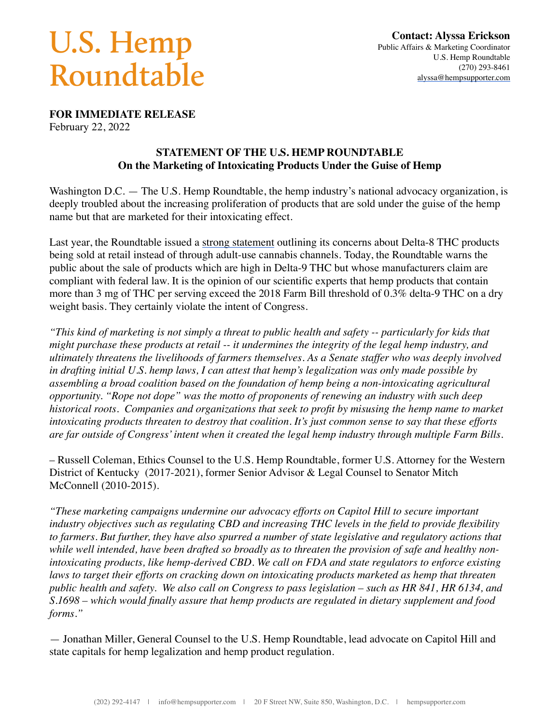## U.S. Hemp Roundtable

**FOR IMMEDIATE RELEASE**

February 22, 2022

## **STATEMENT OF THE U.S. HEMP ROUNDTABLE On the Marketing of Intoxicating Products Under the Guise of Hemp**

Washington D.C. — The U.S. Hemp Roundtable, the hemp industry's national advocacy organization, is deeply troubled about the increasing proliferation of products that are sold under the guise of the hemp name but that are marketed for their intoxicating effect.

Last year, the Roundtable issued a [strong statement](https://hempsupporter.com/news/for-immediate-release-statement-on-marketing-hemp-products) outlining its concerns about Delta-8 THC products being sold at retail instead of through adult-use cannabis channels. Today, the Roundtable warns the public about the sale of products which are high in Delta-9 THC but whose manufacturers claim are compliant with federal law. It is the opinion of our scientific experts that hemp products that contain more than 3 mg of THC per serving exceed the 2018 Farm Bill threshold of 0.3% delta-9 THC on a dry weight basis. They certainly violate the intent of Congress.

*"This kind of marketing is not simply a threat to public health and safety -- particularly for kids that might purchase these products at retail -- it undermines the integrity of the legal hemp industry, and ultimately threatens the livelihoods of farmers themselves. As a Senate staffer who was deeply involved in drafting initial U.S. hemp laws, I can attest that hemp's legalization was only made possible by assembling a broad coalition based on the foundation of hemp being a non-intoxicating agricultural opportunity. "Rope not dope" was the motto of proponents of renewing an industry with such deep historical roots. Companies and organizations that seek to profit by misusing the hemp name to market intoxicating products threaten to destroy that coalition. It's just common sense to say that these efforts are far outside of Congress' intent when it created the legal hemp industry through multiple Farm Bills.*

– Russell Coleman, Ethics Counsel to the U.S. Hemp Roundtable, former U.S. Attorney for the Western District of Kentucky (2017-2021), former Senior Advisor & Legal Counsel to Senator Mitch McConnell (2010-2015).

*"These marketing campaigns undermine our advocacy efforts on Capitol Hill to secure important industry objectives such as regulating CBD and increasing THC levels in the field to provide flexibility to farmers. But further, they have also spurred a number of state legislative and regulatory actions that while well intended, have been drafted so broadly as to threaten the provision of safe and healthy nonintoxicating products, like hemp-derived CBD. We call on FDA and state regulators to enforce existing laws to target their efforts on cracking down on intoxicating products marketed as hemp that threaten public health and safety. We also call on Congress to pass legislation – such as HR 841, HR 6134, and S.1698 – which would finally assure that hemp products are regulated in dietary supplement and food forms."*

— Jonathan Miller, General Counsel to the U.S. Hemp Roundtable, lead advocate on Capitol Hill and state capitals for hemp legalization and hemp product regulation.